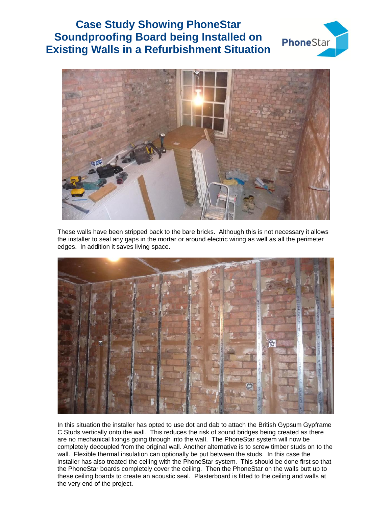## **Case Study Showing PhoneStar Soundproofing Board being Installed on Existing Walls in a Refurbishment Situation**





These walls have been stripped back to the bare bricks. Although this is not necessary it allows the installer to seal any gaps in the mortar or around electric wiring as well as all the perimeter edges. In addition it saves living space.



In this situation the installer has opted to use dot and dab to attach the British Gypsum Gypframe C Studs vertically onto the wall. This reduces the risk of sound bridges being created as there are no mechanical fixings going through into the wall. The PhoneStar system will now be completely decoupled from the original wall. Another alternative is to screw timber studs on to the wall. Flexible thermal insulation can optionally be put between the studs. In this case the installer has also treated the ceiling with the PhoneStar system. This should be done first so that the PhoneStar boards completely cover the ceiling. Then the PhoneStar on the walls butt up to these ceiling boards to create an acoustic seal. Plasterboard is fitted to the ceiling and walls at the very end of the project.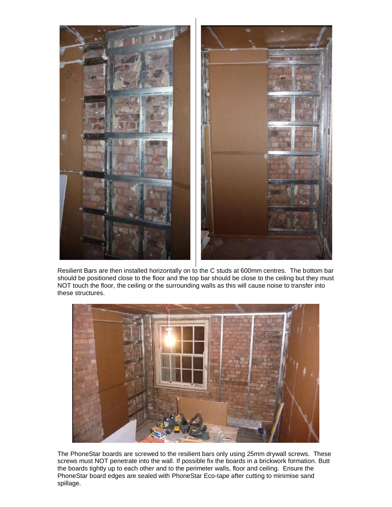

Resilient Bars are then installed horizontally on to the C studs at 600mm centres. The bottom bar should be positioned close to the floor and the top bar should be close to the ceiling but they must NOT touch the floor, the ceiling or the surrounding walls as this will cause noise to transfer into these structures.



The PhoneStar boards are screwed to the resilient bars only using 25mm drywall screws. These screws must NOT penetrate into the wall. If possible fix the boards in a brickwork formation. Butt the boards tightly up to each other and to the perimeter walls, floor and ceiling. Ensure the PhoneStar board edges are sealed with PhoneStar Eco-tape after cutting to minimise sand spillage.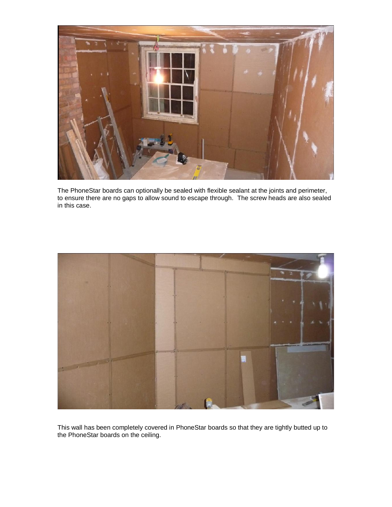

The PhoneStar boards can optionally be sealed with flexible sealant at the joints and perimeter, to ensure there are no gaps to allow sound to escape through. The screw heads are also sealed in this case.



This wall has been completely covered in PhoneStar boards so that they are tightly butted up to the PhoneStar boards on the ceiling.